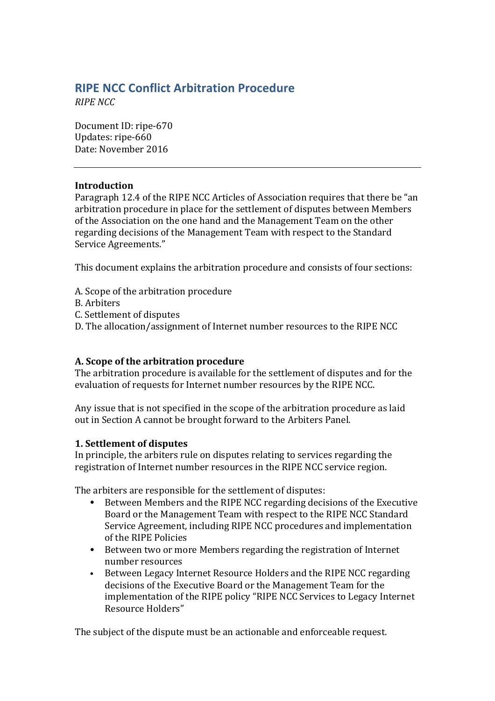# **RIPE NCC Conflict Arbitration Procedure**

*RIPE NCC*

Document ID: ripe-670 Updates: ripe-660 Date: November 2016

#### **Introduction**

Paragraph 12.4 of the RIPE NCC Articles of Association requires that there be "an arbitration procedure in place for the settlement of disputes between Members of the Association on the one hand and the Management Team on the other regarding decisions of the Management Team with respect to the Standard Service Agreements."

This document explains the arbitration procedure and consists of four sections:

- A. Scope of the arbitration procedure
- B. Arbiters
- C. Settlement of disputes
- D. The allocation/assignment of Internet number resources to the RIPE NCC

# **A. Scope of the arbitration procedure**

The arbitration procedure is available for the settlement of disputes and for the evaluation of requests for Internet number resources by the RIPE NCC.

Any issue that is not specified in the scope of the arbitration procedure as laid out in Section A cannot be brought forward to the Arbiters Panel.

#### **1. Settlement of disputes**

In principle, the arbiters rule on disputes relating to services regarding the registration of Internet number resources in the RIPE NCC service region.

The arbiters are responsible for the settlement of disputes:

- Between Members and the RIPE NCC regarding decisions of the Executive Board or the Management Team with respect to the RIPE NCC Standard Service Agreement, including RIPE NCC procedures and implementation of the RIPE Policies
- Between two or more Members regarding the registration of Internet number resources
- Between Legacy Internet Resource Holders and the RIPE NCC regarding decisions of the Executive Board or the Management Team for the implementation of the RIPE policy "RIPE NCC Services to Legacy Internet Resource Holders"

The subject of the dispute must be an actionable and enforceable request.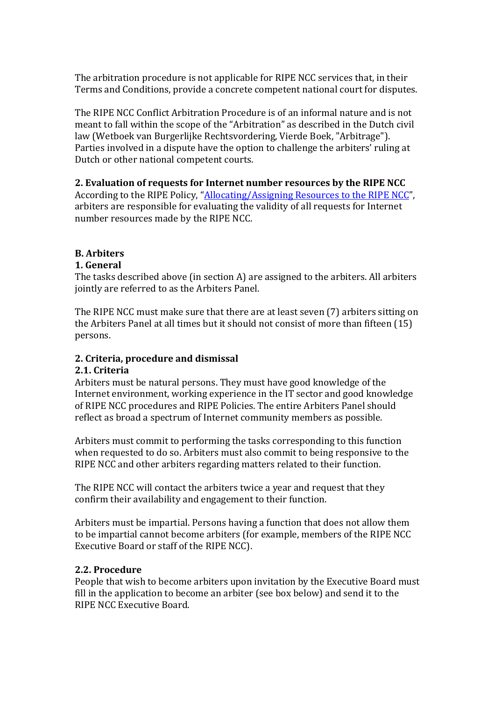The arbitration procedure is not applicable for RIPE NCC services that, in their Terms and Conditions, provide a concrete competent national court for disputes.

The RIPE NCC Conflict Arbitration Procedure is of an informal nature and is not meant to fall within the scope of the "Arbitration" as described in the Dutch civil law (Wetboek van Burgerlijke Rechtsvordering, Vierde Boek, "Arbitrage"). Parties involved in a dispute have the option to challenge the arbiters' ruling at Dutch or other national competent courts.

## **2.** Evaluation of requests for Internet number resources by the RIPE NCC

According to the RIPE Policy, "Allocating/Assigning Resources to the RIPE NCC", arbiters are responsible for evaluating the validity of all requests for Internet number resources made by the RIPE NCC.

# **B. Arbiters**

## **1. General**

The tasks described above (in section A) are assigned to the arbiters. All arbiters jointly are referred to as the Arbiters Panel.

The RIPE NCC must make sure that there are at least seven (7) arbiters sitting on the Arbiters Panel at all times but it should not consist of more than fifteen  $(15)$ persons. 

# **2. Criteria, procedure and dismissal**

#### **2.1. Criteria**

Arbiters must be natural persons. They must have good knowledge of the Internet environment, working experience in the IT sector and good knowledge of RIPE NCC procedures and RIPE Policies. The entire Arbiters Panel should reflect as broad a spectrum of Internet community members as possible.

Arbiters must commit to performing the tasks corresponding to this function when requested to do so. Arbiters must also commit to being responsive to the RIPE NCC and other arbiters regarding matters related to their function.

The RIPE NCC will contact the arbiters twice a vear and request that they confirm their availability and engagement to their function.

Arbiters must be impartial. Persons having a function that does not allow them to be impartial cannot become arbiters (for example, members of the RIPE NCC Executive Board or staff of the RIPE NCC).

#### **2.2. Procedure**

People that wish to become arbiters upon invitation by the Executive Board must fill in the application to become an arbiter (see box below) and send it to the RIPE NCC Executive Board.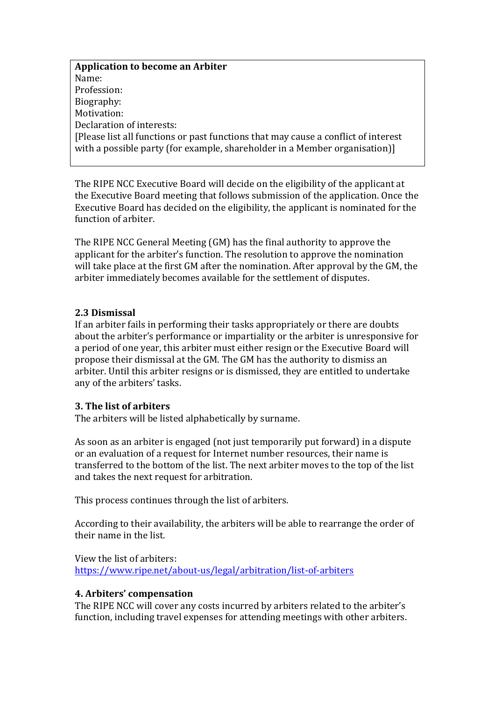**Application to become an Arbiter** Name: Profession: Biography: Motivation: Declaration of interests: [Please list all functions or past functions that may cause a conflict of interest with a possible party (for example, shareholder in a Member organisation)]

The RIPE NCC Executive Board will decide on the eligibility of the applicant at the Executive Board meeting that follows submission of the application. Once the Executive Board has decided on the eligibility, the applicant is nominated for the function of arbiter.

The RIPE NCC General Meeting (GM) has the final authority to approve the applicant for the arbiter's function. The resolution to approve the nomination will take place at the first GM after the nomination. After approval by the GM, the arbiter immediately becomes available for the settlement of disputes.

#### **2.3 Dismissal**

If an arbiter fails in performing their tasks appropriately or there are doubts about the arbiter's performance or impartiality or the arbiter is unresponsive for a period of one year, this arbiter must either resign or the Executive Board will propose their dismissal at the GM. The GM has the authority to dismiss an arbiter. Until this arbiter resigns or is dismissed, they are entitled to undertake any of the arbiters' tasks.

#### **3. The list of arbiters**

The arbiters will be listed alphabetically by surname.

As soon as an arbiter is engaged (not just temporarily put forward) in a dispute or an evaluation of a request for Internet number resources, their name is transferred to the bottom of the list. The next arbiter moves to the top of the list and takes the next request for arbitration.

This process continues through the list of arbiters.

According to their availability, the arbiters will be able to rearrange the order of their name in the list.

View the list of arbiters: <https://www.ripe.net/about-us/legal/arbitration/list-of-arbiters>

#### **4. Arbiters' compensation**

The RIPE NCC will cover any costs incurred by arbiters related to the arbiter's function, including travel expenses for attending meetings with other arbiters.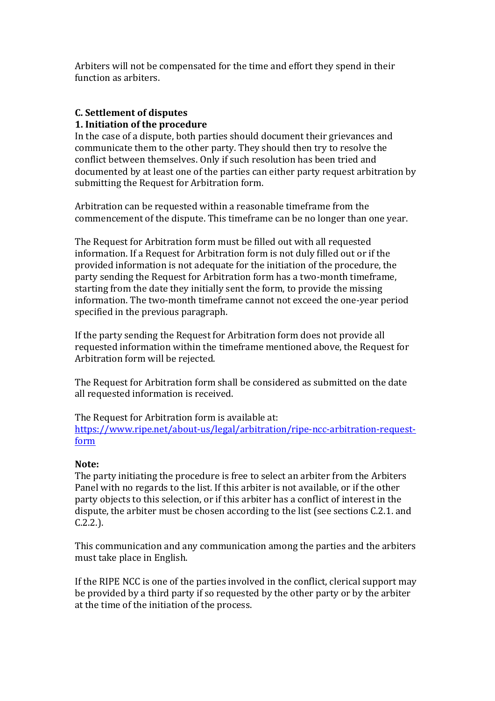Arbiters will not be compensated for the time and effort they spend in their function as arbiters.

# **C. Settlement of disputes**

#### **1. Initiation of the procedure**

In the case of a dispute, both parties should document their grievances and communicate them to the other party. They should then try to resolve the conflict between themselves. Only if such resolution has been tried and documented by at least one of the parties can either party request arbitration by submitting the Request for Arbitration form.

Arbitration can be requested within a reasonable timeframe from the commencement of the dispute. This timeframe can be no longer than one year.

The Request for Arbitration form must be filled out with all requested information. If a Request for Arbitration form is not duly filled out or if the provided information is not adequate for the initiation of the procedure, the party sending the Request for Arbitration form has a two-month timeframe, starting from the date they initially sent the form, to provide the missing information. The two-month timeframe cannot not exceed the one-year period specified in the previous paragraph.

If the party sending the Request for Arbitration form does not provide all requested information within the timeframe mentioned above, the Request for Arbitration form will be rejected.

The Request for Arbitration form shall be considered as submitted on the date all requested information is received.

The Request for Arbitration form is available at: [https://www.ripe.net/about-us/legal/arbitration/ripe-ncc-arbitration-request](https://www.ripe.net/about-us/legal/arbitration/ripe-ncc-arbitration-request-form)[form](https://www.ripe.net/about-us/legal/arbitration/ripe-ncc-arbitration-request-form)

#### Note:

The party initiating the procedure is free to select an arbiter from the Arbiters Panel with no regards to the list. If this arbiter is not available, or if the other party objects to this selection, or if this arbiter has a conflict of interest in the dispute, the arbiter must be chosen according to the list (see sections C.2.1. and C.2.2.). 

This communication and any communication among the parties and the arbiters must take place in English.

If the RIPE NCC is one of the parties involved in the conflict, clerical support may be provided by a third party if so requested by the other party or by the arbiter at the time of the initiation of the process.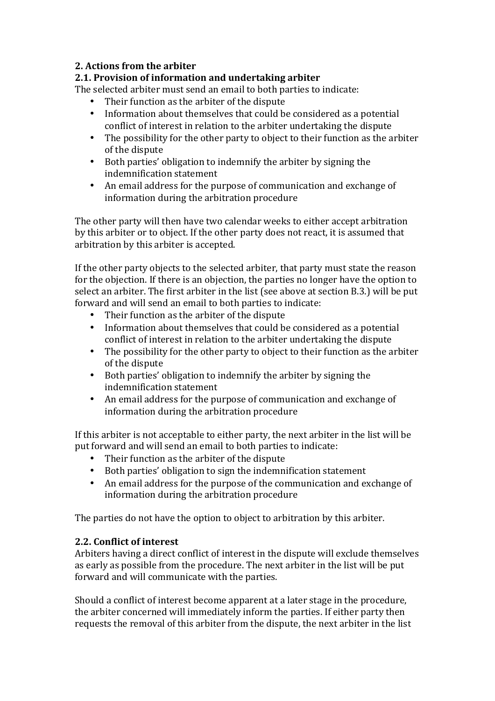## **2. Actions from the arbiter**

# **2.1. Provision of information and undertaking arbiter**

The selected arbiter must send an email to both parties to indicate:

- Their function as the arbiter of the dispute
- Information about themselves that could be considered as a potential conflict of interest in relation to the arbiter undertaking the dispute
- The possibility for the other party to object to their function as the arbiter of the dispute
- Both parties' obligation to indemnify the arbiter by signing the indemnification statement
- An email address for the purpose of communication and exchange of information during the arbitration procedure

The other party will then have two calendar weeks to either accept arbitration by this arbiter or to object. If the other party does not react, it is assumed that arbitration by this arbiter is accepted.

If the other party objects to the selected arbiter, that party must state the reason for the objection. If there is an objection, the parties no longer have the option to select an arbiter. The first arbiter in the list (see above at section B.3.) will be put forward and will send an email to both parties to indicate:

- Their function as the arbiter of the dispute
- Information about themselves that could be considered as a potential conflict of interest in relation to the arbiter undertaking the dispute
- The possibility for the other party to object to their function as the arbiter of the dispute
- Both parties' obligation to indemnify the arbiter by signing the indemnification statement
- An email address for the purpose of communication and exchange of information during the arbitration procedure

If this arbiter is not acceptable to either party, the next arbiter in the list will be put forward and will send an email to both parties to indicate:

- Their function as the arbiter of the dispute
- Both parties' obligation to sign the indemnification statement
- An email address for the purpose of the communication and exchange of information during the arbitration procedure

The parties do not have the option to object to arbitration by this arbiter.

#### **2.2. Conflict of interest**

Arbiters having a direct conflict of interest in the dispute will exclude themselves as early as possible from the procedure. The next arbiter in the list will be put forward and will communicate with the parties.

Should a conflict of interest become apparent at a later stage in the procedure, the arbiter concerned will immediately inform the parties. If either party then requests the removal of this arbiter from the dispute, the next arbiter in the list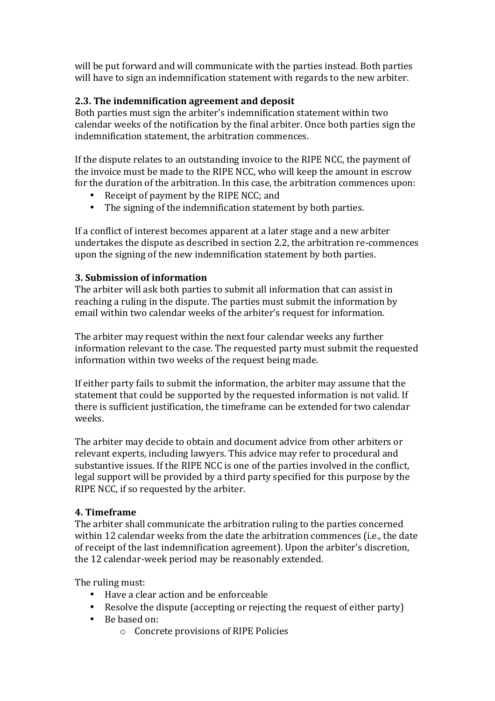will be put forward and will communicate with the parties instead. Both parties will have to sign an indemnification statement with regards to the new arbiter.

# **2.3. The indemnification agreement and deposit**

Both parties must sign the arbiter's indemnification statement within two calendar weeks of the notification by the final arbiter. Once both parties sign the indemnification statement, the arbitration commences.

If the dispute relates to an outstanding invoice to the RIPE NCC, the payment of the invoice must be made to the RIPE NCC, who will keep the amount in escrow for the duration of the arbitration. In this case, the arbitration commences upon:

- Receipt of payment by the RIPE NCC; and
- The signing of the indemnification statement by both parties.

If a conflict of interest becomes apparent at a later stage and a new arbiter undertakes the dispute as described in section 2.2, the arbitration re-commences upon the signing of the new indemnification statement by both parties.

# **3. Submission of information**

The arbiter will ask both parties to submit all information that can assist in reaching a ruling in the dispute. The parties must submit the information by email within two calendar weeks of the arbiter's request for information.

The arbiter may request within the next four calendar weeks any further information relevant to the case. The requested party must submit the requested information within two weeks of the request being made.

If either party fails to submit the information, the arbiter may assume that the statement that could be supported by the requested information is not valid. If there is sufficient justification, the timeframe can be extended for two calendar weeks.

The arbiter may decide to obtain and document advice from other arbiters or relevant experts, including lawyers. This advice may refer to procedural and substantive issues. If the RIPE NCC is one of the parties involved in the conflict, legal support will be provided by a third party specified for this purpose by the RIPE NCC, if so requested by the arbiter.

# **4. Timeframe**

The arbiter shall communicate the arbitration ruling to the parties concerned within 12 calendar weeks from the date the arbitration commences (i.e., the date of receipt of the last indemnification agreement). Upon the arbiter's discretion, the 12 calendar-week period may be reasonably extended.

The ruling must:

- Have a clear action and be enforceable
- Resolve the dispute (accepting or rejecting the request of either party)
- Be based on:
	- $\circ$  Concrete provisions of RIPE Policies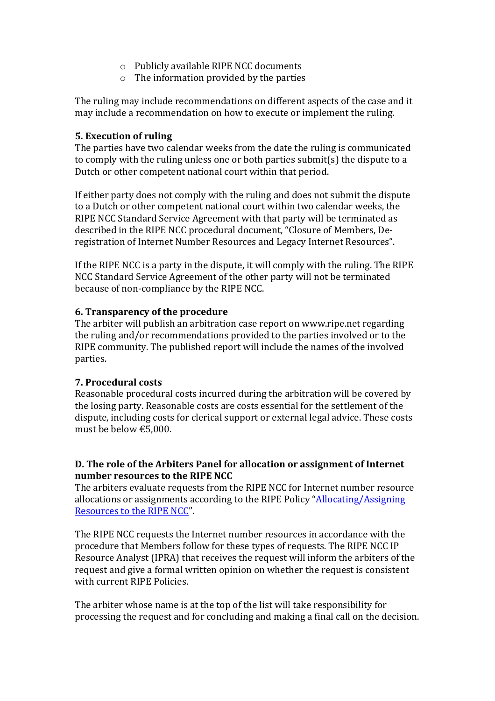- $\circ$  Publicly available RIPE NCC documents
- $\circ$  The information provided by the parties

The ruling may include recommendations on different aspects of the case and it may include a recommendation on how to execute or implement the ruling.

#### **5.** Execution of ruling

The parties have two calendar weeks from the date the ruling is communicated to comply with the ruling unless one or both parties submit(s) the dispute to a Dutch or other competent national court within that period.

If either party does not comply with the ruling and does not submit the dispute to a Dutch or other competent national court within two calendar weeks, the RIPE NCC Standard Service Agreement with that party will be terminated as described in the RIPE NCC procedural document, "Closure of Members, Deregistration of Internet Number Resources and Legacy Internet Resources".

If the RIPE NCC is a party in the dispute, it will comply with the ruling. The RIPE NCC Standard Service Agreement of the other party will not be terminated because of non-compliance by the RIPE NCC.

## **6. Transparency of the procedure**

The arbiter will publish an arbitration case report on www.ripe.net regarding the ruling and/or recommendations provided to the parties involved or to the RIPE community. The published report will include the names of the involved parties.

# **7. Procedural costs**

Reasonable procedural costs incurred during the arbitration will be covered by the losing party. Reasonable costs are costs essential for the settlement of the dispute, including costs for clerical support or external legal advice. These costs must be below €5,000.

## **D.** The role of the Arbiters Panel for allocation or assignment of Internet **number resources to the RIPE NCC**

The arbiters evaluate requests from the RIPE NCC for Internet number resource allocations or assignments according to the RIPE Policy "[Allocating/Assigning](http://www.ripe.net/publications/docs/allocating-assigning-resources) Resources to the RIPE NCC".

The RIPE NCC requests the Internet number resources in accordance with the procedure that Members follow for these types of requests. The RIPE NCC IP Resource Analyst (IPRA) that receives the request will inform the arbiters of the request and give a formal written opinion on whether the request is consistent with current RIPE Policies.

The arbiter whose name is at the top of the list will take responsibility for processing the request and for concluding and making a final call on the decision.